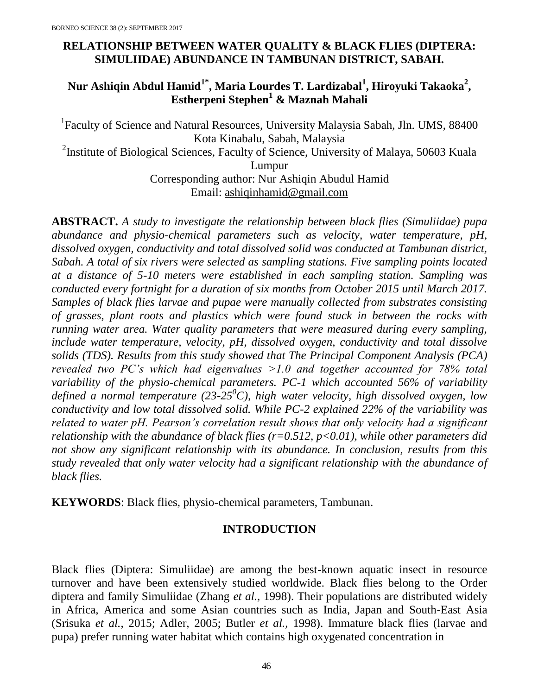# **RELATIONSHIP BETWEEN WATER QUALITY & BLACK FLIES (DIPTERA: SIMULIIDAE) ABUNDANCE IN TAMBUNAN DISTRICT, SABAH.**

## **Nur Ashiqin Abdul Hamid1\*, Maria Lourdes T. Lardizabal<sup>1</sup> , Hiroyuki Takaoka<sup>2</sup> , Estherpeni Stephen<sup>1</sup> & Maznah Mahali**

<sup>1</sup>Faculty of Science and Natural Resources, University Malaysia Sabah, Jln. UMS, 88400 Kota Kinabalu, Sabah, Malaysia <sup>2</sup>Institute of Biological Sciences, Faculty of Science, University of Malaya, 50603 Kuala Lumpur Corresponding author: Nur Ashiqin Abudul Hamid Email: [ashiqinhamid@gmail.com](mailto:ashiqinhamid@gmail.com)

**ABSTRACT.** *A study to investigate the relationship between black flies (Simuliidae) pupa abundance and physio-chemical parameters such as velocity, water temperature, pH, dissolved oxygen, conductivity and total dissolved solid was conducted at Tambunan district, Sabah. A total of six rivers were selected as sampling stations. Five sampling points located at a distance of 5-10 meters were established in each sampling station. Sampling was conducted every fortnight for a duration of six months from October 2015 until March 2017. Samples of black flies larvae and pupae were manually collected from substrates consisting of grasses, plant roots and plastics which were found stuck in between the rocks with running water area. Water quality parameters that were measured during every sampling, include water temperature, velocity, pH, dissolved oxygen, conductivity and total dissolve solids (TDS). Results from this study showed that The Principal Component Analysis (PCA) revealed two PC's which had eigenvalues >1.0 and together accounted for 78% total variability of the physio-chemical parameters. PC-1 which accounted 56% of variability defined a normal temperature (23-25<sup>0</sup>C), high water velocity, high dissolved oxygen, low conductivity and low total dissolved solid. While PC-2 explained 22% of the variability was related to water pH. Pearson's correlation result shows that only velocity had a significant relationship with the abundance of black flies (r=0.512, p<0.01), while other parameters did not show any significant relationship with its abundance. In conclusion, results from this study revealed that only water velocity had a significant relationship with the abundance of black flies.*

**KEYWORDS**: Black flies, physio-chemical parameters, Tambunan.

## **INTRODUCTION**

Black flies (Diptera: Simuliidae) are among the best-known aquatic insect in resource turnover and have been extensively studied worldwide. Black flies belong to the Order diptera and family Simuliidae (Zhang *et al.*, 1998). Their populations are distributed widely in Africa, America and some Asian countries such as India, Japan and South-East Asia (Srisuka *et al.*, 2015; Adler, 2005; Butler *et al.,* 1998). Immature black flies (larvae and pupa) prefer running water habitat which contains high oxygenated concentration in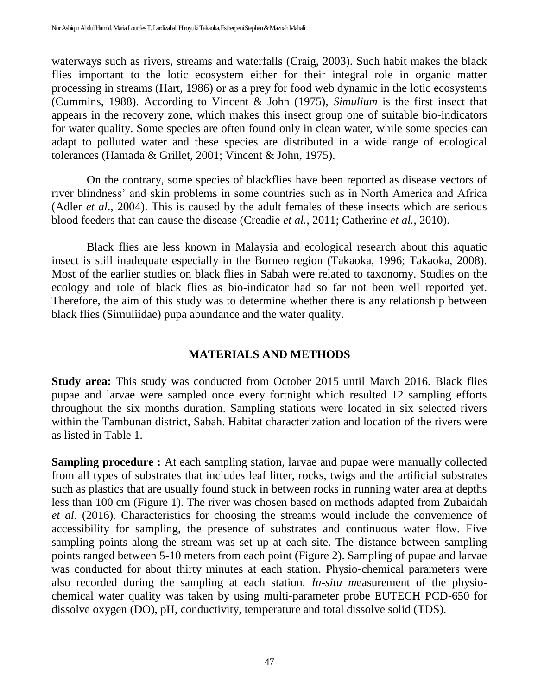waterways such as rivers, streams and waterfalls (Craig, 2003). Such habit makes the black flies important to the lotic ecosystem either for their integral role in organic matter processing in streams (Hart, 1986) or as a prey for food web dynamic in the lotic ecosystems (Cummins, 1988). According to Vincent & John (1975), *Simulium* is the first insect that appears in the recovery zone, which makes this insect group one of suitable bio-indicators for water quality. Some species are often found only in clean water, while some species can adapt to polluted water and these species are distributed in a wide range of ecological tolerances (Hamada & Grillet, 2001; Vincent & John, 1975).

On the contrary, some species of blackflies have been reported as disease vectors of river blindness' and skin problems in some countries such as in North America and Africa (Adler *et al*., 2004). This is caused by the adult females of these insects which are serious blood feeders that can cause the disease (Creadie *et al.*, 2011; Catherine *et al.*, 2010).

Black flies are less known in Malaysia and ecological research about this aquatic insect is still inadequate especially in the Borneo region (Takaoka, 1996; Takaoka, 2008). Most of the earlier studies on black flies in Sabah were related to taxonomy. Studies on the ecology and role of black flies as bio-indicator had so far not been well reported yet. Therefore, the aim of this study was to determine whether there is any relationship between black flies (Simuliidae) pupa abundance and the water quality.

## **MATERIALS AND METHODS**

**Study area:** This study was conducted from October 2015 until March 2016. Black flies pupae and larvae were sampled once every fortnight which resulted 12 sampling efforts throughout the six months duration. Sampling stations were located in six selected rivers within the Tambunan district, Sabah. Habitat characterization and location of the rivers were as listed in Table 1.

**Sampling procedure :** At each sampling station, larvae and pupae were manually collected from all types of substrates that includes leaf litter, rocks, twigs and the artificial substrates such as plastics that are usually found stuck in between rocks in running water area at depths less than 100 cm (Figure 1). The river was chosen based on methods adapted from Zubaidah *et al.* (2016). Characteristics for choosing the streams would include the convenience of accessibility for sampling, the presence of substrates and continuous water flow. Five sampling points along the stream was set up at each site. The distance between sampling points ranged between 5-10 meters from each point (Figure 2). Sampling of pupae and larvae was conducted for about thirty minutes at each station. Physio-chemical parameters were also recorded during the sampling at each station. *In-situ m*easurement of the physiochemical water quality was taken by using multi-parameter probe EUTECH PCD-650 for dissolve oxygen (DO), pH, conductivity, temperature and total dissolve solid (TDS).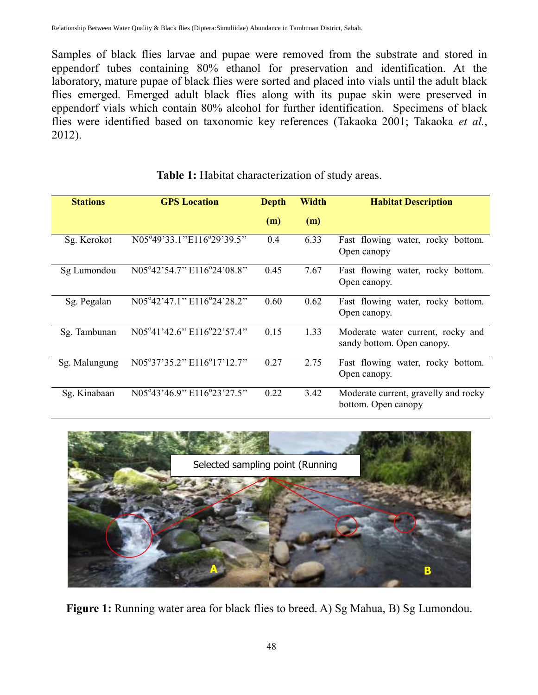Samples of black flies larvae and pupae were removed from the substrate and stored in eppendorf tubes containing 80% ethanol for preservation and identification. At the laboratory, mature pupae of black flies were sorted and placed into vials until the adult black flies emerged. Emerged adult black flies along with its pupae skin were preserved in eppendorf vials which contain 80% alcohol for further identification. Specimens of black flies were identified based on taxonomic key references (Takaoka 2001; Takaoka *et al.*, 2012).

| <b>Stations</b> | <b>GPS</b> Location        | Depth | Width | <b>Habitat Description</b>                                      |
|-----------------|----------------------------|-------|-------|-----------------------------------------------------------------|
|                 |                            | (m)   | (m)   |                                                                 |
| Sg. Kerokot     | N05°49'33.1"E116°29'39.5"  | 0.4   | 6.33  | Fast flowing water, rocky bottom.<br>Open canopy                |
| Sg Lumondou     | N05°42'54.7" E116°24'08.8" | 0.45  | 7.67  | Fast flowing water, rocky bottom.<br>Open canopy.               |
| Sg. Pegalan     | N05°42'47.1" E116°24'28.2" | 0.60  | 0.62  | Fast flowing water, rocky bottom.<br>Open canopy.               |
| Sg. Tambunan    | N05°41'42.6" E116°22'57.4" | 0.15  | 1.33  | Moderate water current, rocky and<br>sandy bottom. Open canopy. |
| Sg. Malungung   | N05°37'35.2" E116°17'12.7" | 0.27  | 2.75  | Fast flowing water, rocky bottom.<br>Open canopy.               |
| Sg. Kinabaan    | N05°43'46.9" E116°23'27.5" | 0.22  | 3.42  | Moderate current, gravelly and rocky<br>bottom. Open canopy     |

Table 1: Habitat characterization of study areas.



Figure 1: Running water area for black flies to breed. A) Sg Mahua, B) Sg Lumondou.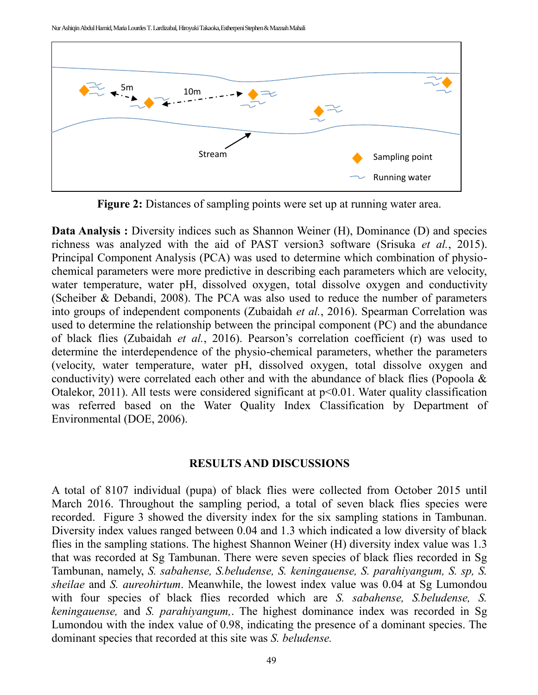Nur Ashiqin Abdul Hamid, Maria Lourdes T. Lardizabal, Hiroyuki Takaoka,Estherpeni Stephen & Maznah Mahali



**Figure 2:** Distances of sampling points were set up at running water area.

**Data Analysis :** Diversity indices such as Shannon Weiner (H), Dominance (D) and species richness was analyzed with the aid of PAST version3 software (Srisuka *et al.*, 2015). Principal Component Analysis (PCA) was used to determine which combination of physiochemical parameters were more predictive in describing each parameters which are velocity, water temperature, water pH, dissolved oxygen, total dissolve oxygen and conductivity (Scheiber & Debandi, 2008). The PCA was also used to reduce the number of parameters into groups of independent components (Zubaidah *et al.*, 2016). Spearman Correlation was used to determine the relationship between the principal component (PC) and the abundance of black flies (Zubaidah *et al.*, 2016). Pearson's correlation coefficient (r) was used to determine the interdependence of the physio-chemical parameters, whether the parameters (velocity, water temperature, water pH, dissolved oxygen, total dissolve oxygen and conductivity) were correlated each other and with the abundance of black flies (Popoola & Otalekor, 2011). All tests were considered significant at  $p<0.01$ . Water quality classification was referred based on the Water Quality Index Classification by Department of Environmental (DOE, 2006).

## **RESULTS AND DISCUSSIONS**

A total of 8107 individual (pupa) of black flies were collected from October 2015 until March 2016. Throughout the sampling period, a total of seven black flies species were recorded. Figure 3 showed the diversity index for the six sampling stations in Tambunan. Diversity index values ranged between 0.04 and 1.3 which indicated a low diversity of black flies in the sampling stations. The highest Shannon Weiner (H) diversity index value was 1.3 that was recorded at Sg Tambunan. There were seven species of black flies recorded in Sg Tambunan, namely, *S. sabahense, S.beludense, S. keningauense, S. parahiyangum, S. sp, S. sheilae* and *S. aureohirtum*. Meanwhile, the lowest index value was 0.04 at Sg Lumondou with four species of black flies recorded which are *S. sabahense, S.beludense, S. keningauense,* and *S. parahiyangum,*. The highest dominance index was recorded in Sg Lumondou with the index value of 0.98, indicating the presence of a dominant species. The dominant species that recorded at this site was *S. beludense.*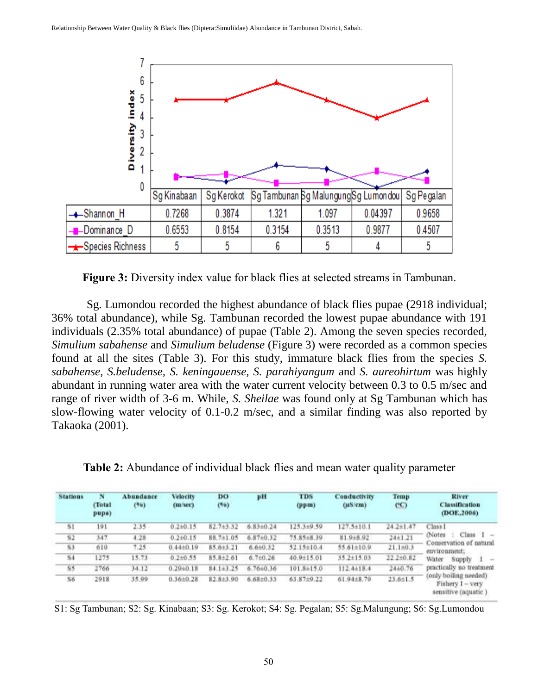

**Figure 3:** Diversity index value for black flies at selected streams in Tambunan.

Sg. Lumondou recorded the highest abundance of black flies pupae (2918 individual; 36% total abundance), while Sg. Tambunan recorded the lowest pupae abundance with 191 individuals (2.35% total abundance) of pupae (Table 2). Among the seven species recorded, *Simulium sabahense* and *Simulium beludense* (Figure 3) were recorded as a common species found at all the sites (Table 3). For this study, immature black flies from the species *S. sabahense, S.beludense, S. keningauense, S. parahiyangum* and *S. aureohirtum* was highly abundant in running water area with the water current velocity between 0.3 to 0.5 m/sec and range of river width of 3-6 m. While, *S. Sheilae* was found only at Sg Tambunan which has slow-flowing water velocity of 0.1-0.2 m/sec, and a similar finding was also reported by Takaoka (2001).

**Table 2:** Abundance of individual black flies and mean water quality parameter

| <b>Stations</b> | N<br><b>Clotal</b><br>pupa) | Abundance<br>(96) | <b>Velocity</b><br>(m/sec) | DO<br>(96) | pH             | <b>TDS</b><br>(ppm) | <b>Conductivity</b><br>$(\mu$ S/cm $)$ | Temp<br>$C$ C)  | River<br><b>Classification</b><br>(DOE.2006)                                                                                   |
|-----------------|-----------------------------|-------------------|----------------------------|------------|----------------|---------------------|----------------------------------------|-----------------|--------------------------------------------------------------------------------------------------------------------------------|
| \$ł             | 191                         | 2.35              | $0.2 + 0.15$               | 82.743.32  | 6.83±0.24      | 125.3±9.59          | $127.5 \pm 10.1$                       | $24.2 + 1.47$   | Class <sub>I</sub><br>Class<br>(Notes<br>$\sim$<br>Conservation of natural<br>environment;<br>Water<br>Supply<br>$\frac{1}{2}$ |
| \$2             | 347                         | 4.28              | $0.2 + 0.15$               | 88,7±1.05  | 6,87±0.32      | 75.85±8.39          | 81.9±8.92                              | 24±1.21         |                                                                                                                                |
| \$3             | 610                         | 7.25              | $0.44 + 0.19$              | 85.6±3.21  | $6.6{\pm}0.32$ | 52.15±10.4          | 55.61±10.9                             | $21.1 + 0.3$    |                                                                                                                                |
| \$4             | 1275                        | 15.73             | $0.2{\pm}0.55$             | 85.8±2.61  | $6.7{\pm}0.26$ | 40.9±15.01          | $35.2 + 15.03$                         | $22.2 \pm 0.82$ |                                                                                                                                |
| 85              | 2766                        | 34.12             | $0.29 \pm 0.18$            | 84.1±3.25  | 6.76±0.36      | 101.8±15.0          | 112.4±18.4                             | 2440.76         | practically no treatment.                                                                                                      |
| S6              | 2918                        | 35.99             | $0.36{\pm}0.28$            | 82.8±3.90  | 6.68±0.33      | 63,87±9.22          | 61.94±8.79                             | $23.6{\pm}1.5$  | (only boiling needed)<br>Fishery I - very<br>sensitive (aquatic)                                                               |

S1: Sg Tambunan; S2: Sg. Kinabaan; S3: Sg. Kerokot; S4: Sg. Pegalan; S5: Sg.Malungung; S6: Sg.Lumondou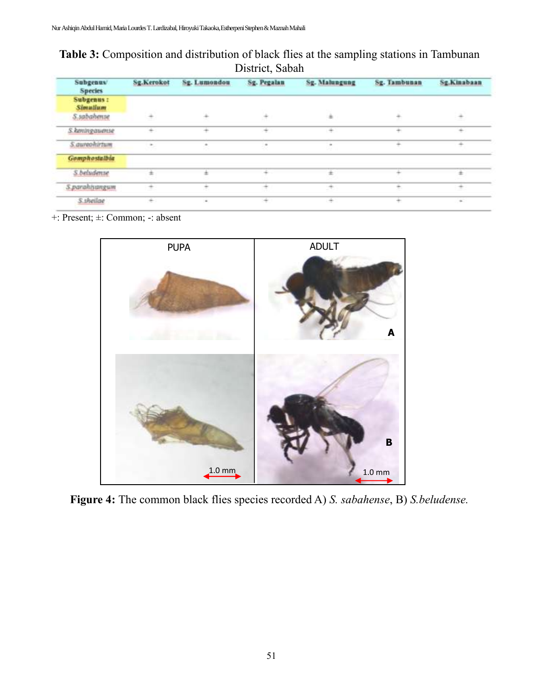**Table 3:** Composition and distribution of black flies at the sampling stations in Tambunan District, Sabah

| <b>Subgenus</b><br><b>Species</b> | Sg.Kerokot | Sg. Lumondou | Sg. Pegalan | Sg. Malungung | Sg. Tambunan | Sg.Kinabaan |
|-----------------------------------|------------|--------------|-------------|---------------|--------------|-------------|
| Subgenus:<br><b>Simulium</b>      |            |              |             |               |              |             |
| S.sabahense                       | ۰          |              | ٠           | $\Rightarrow$ |              |             |
| S. keningawense                   | ÷          | ÷            | ÷           | ÷             | ÷            | ÷           |
| S.autoohirtum                     |            |              |             |               |              |             |
| <b>Gomphostalbia</b>              |            |              |             |               |              |             |
| S.beludense                       |            |              |             |               |              |             |
| 5.parahisangum                    | ÷          |              |             |               | ۰            |             |
| S.theilae                         | ÷          |              |             |               |              | $\sim$      |

+: Present; ±: Common; -: absent



**Figure 4:** The common black flies species recorded A) *S. sabahense*, B) *S.beludense.*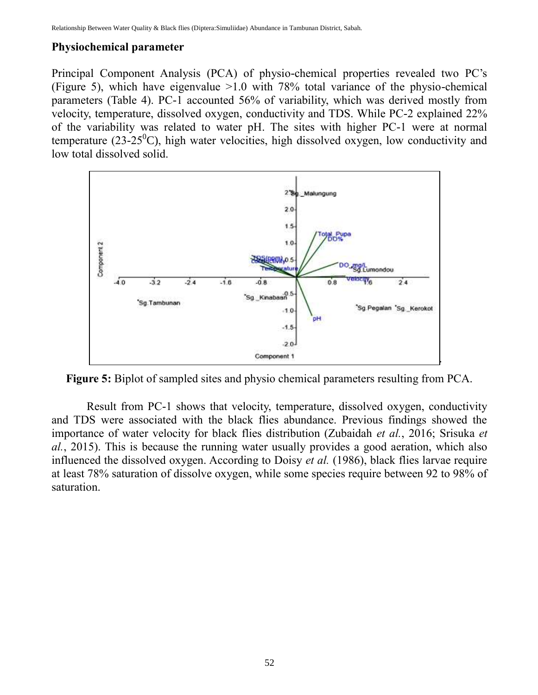## **Physiochemical parameter**

Principal Component Analysis (PCA) of physio-chemical properties revealed two PC's (Figure 5), which have eigenvalue >1.0 with 78% total variance of the physio-chemical parameters (Table 4). PC-1 accounted 56% of variability, which was derived mostly from velocity, temperature, dissolved oxygen, conductivity and TDS. While PC-2 explained 22% of the variability was related to water pH. The sites with higher PC-1 were at normal temperature (23-25 $^0$ C), high water velocities, high dissolved oxygen, low conductivity and low total dissolved solid.



**Figure 5:** Biplot of sampled sites and physio chemical parameters resulting from PCA.

Result from PC-1 shows that velocity, temperature, dissolved oxygen, conductivity and TDS were associated with the black flies abundance. Previous findings showed the importance of water velocity for black flies distribution (Zubaidah *et al.*, 2016; Srisuka *et al.*, 2015). This is because the running water usually provides a good aeration, which also influenced the dissolved oxygen. According to Doisy *et al.* (1986), black flies larvae require at least 78% saturation of dissolve oxygen, while some species require between 92 to 98% of saturation.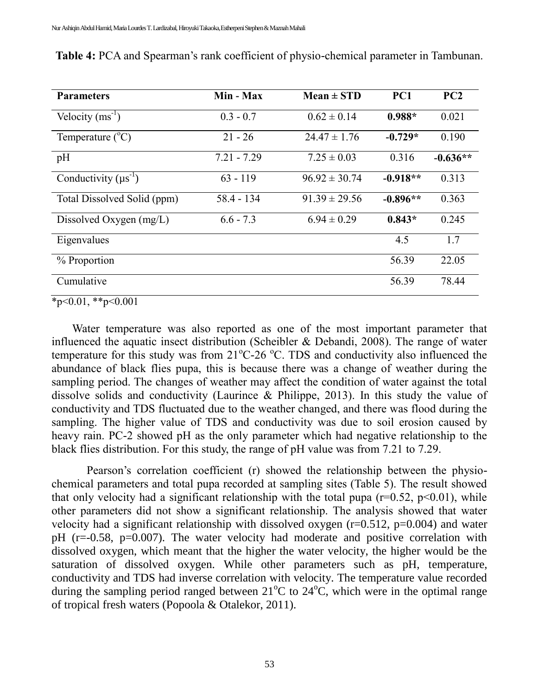| <b>Parameters</b>           | Min - Max     | $Mean \pm STD$    | PC1        | PC2        |
|-----------------------------|---------------|-------------------|------------|------------|
| Velocity $(ms^{-1})$        | $0.3 - 0.7$   | $0.62 \pm 0.14$   | $0.988*$   | 0.021      |
| Temperature $(^{\circ}C)$   | $21 - 26$     | $24.47 \pm 1.76$  | $-0.729*$  | 0.190      |
| pH                          | $7.21 - 7.29$ | $7.25 \pm 0.03$   | 0.316      | $-0.636**$ |
| Conductivity $(\mu s^{-1})$ | $63 - 119$    | $96.92 \pm 30.74$ | $-0.918**$ | 0.313      |
| Total Dissolved Solid (ppm) | $58.4 - 134$  | $91.39 \pm 29.56$ | $-0.896**$ | 0.363      |
| Dissolved Oxygen $(mg/L)$   | $6.6 - 7.3$   | $6.94 \pm 0.29$   | $0.843*$   | 0.245      |
| Eigenvalues                 |               |                   | 4.5        | 1.7        |
| % Proportion                |               |                   | 56.39      | 22.05      |
| Cumulative                  |               |                   | 56.39      | 78.44      |

| <b>Table 4:</b> PCA and Spearman's rank coefficient of physio-chemical parameter in Tambunan. |  |  |
|-----------------------------------------------------------------------------------------------|--|--|
|                                                                                               |  |  |
|                                                                                               |  |  |
|                                                                                               |  |  |

 $*_{p<0.01,**p<0.001}$ 

Water temperature was also reported as one of the most important parameter that influenced the aquatic insect distribution (Scheibler & Debandi, 2008). The range of water temperature for this study was from  $21^{\circ}$ C-26  $^{\circ}$ C. TDS and conductivity also influenced the abundance of black flies pupa, this is because there was a change of weather during the sampling period. The changes of weather may affect the condition of water against the total dissolve solids and conductivity (Laurince & Philippe, 2013). In this study the value of conductivity and TDS fluctuated due to the weather changed, and there was flood during the sampling. The higher value of TDS and conductivity was due to soil erosion caused by heavy rain. PC-2 showed pH as the only parameter which had negative relationship to the black flies distribution. For this study, the range of pH value was from 7.21 to 7.29.

Pearson's correlation coefficient (r) showed the relationship between the physiochemical parameters and total pupa recorded at sampling sites (Table 5). The result showed that only velocity had a significant relationship with the total pupa ( $r=0.52$ ,  $p<0.01$ ), while other parameters did not show a significant relationship. The analysis showed that water velocity had a significant relationship with dissolved oxygen  $(r=0.512, p=0.004)$  and water pH (r=-0.58, p=0.007). The water velocity had moderate and positive correlation with dissolved oxygen, which meant that the higher the water velocity, the higher would be the saturation of dissolved oxygen. While other parameters such as pH, temperature, conductivity and TDS had inverse correlation with velocity. The temperature value recorded during the sampling period ranged between  $21^{\circ}$ C to  $24^{\circ}$ C, which were in the optimal range of tropical fresh waters (Popoola & Otalekor, 2011).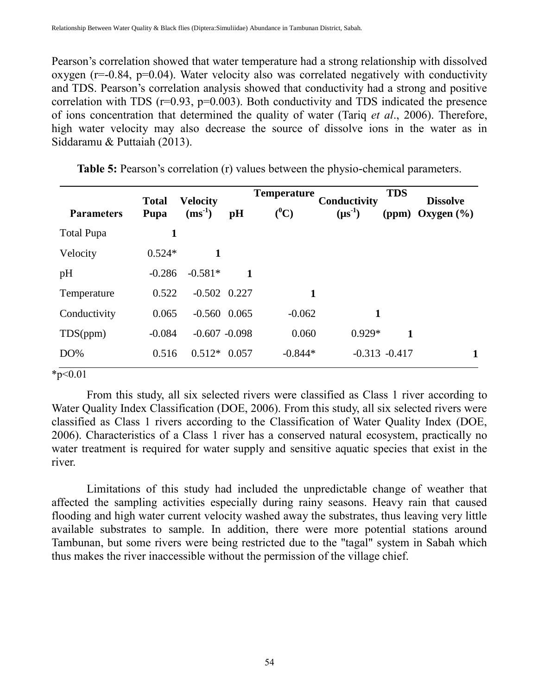Pearson's correlation showed that water temperature had a strong relationship with dissolved oxygen ( $r=-0.84$ ,  $p=0.04$ ). Water velocity also was correlated negatively with conductivity and TDS. Pearson's correlation analysis showed that conductivity had a strong and positive correlation with TDS  $(r=0.93, p=0.003)$ . Both conductivity and TDS indicated the presence of ions concentration that determined the quality of water (Tariq *et al*., 2006). Therefore, high water velocity may also decrease the source of dissolve ions in the water as in Siddaramu & Puttaiah (2013).

| <b>Total</b> | <b>Velocity</b> |                                                                                 |                                                                                  | Conductivity | <b>TDS</b>                                                                  | <b>Dissolve</b>                   |
|--------------|-----------------|---------------------------------------------------------------------------------|----------------------------------------------------------------------------------|--------------|-----------------------------------------------------------------------------|-----------------------------------|
|              |                 |                                                                                 |                                                                                  |              |                                                                             | (ppm) Oxygen $(\% )$              |
|              |                 |                                                                                 |                                                                                  |              |                                                                             |                                   |
|              | 1               |                                                                                 |                                                                                  |              |                                                                             |                                   |
|              | $-0.581*$       | 1                                                                               |                                                                                  |              |                                                                             |                                   |
|              |                 |                                                                                 |                                                                                  |              |                                                                             |                                   |
|              |                 |                                                                                 |                                                                                  |              |                                                                             |                                   |
|              |                 |                                                                                 |                                                                                  |              | $\mathbf{1}$                                                                |                                   |
|              |                 |                                                                                 |                                                                                  |              |                                                                             |                                   |
|              | Pupa            | $(ms^{-1})$<br>1<br>$0.524*$<br>$-0.286$<br>0.522<br>0.065<br>$-0.084$<br>0.516 | pH<br>$-0.502$ $0.227$<br>$-0.560$ $0.065$<br>$-0.607 - 0.098$<br>$0.512*$ 0.057 | $(^0C)$      | <b>Temperature</b><br>$(\mu s^{-1})$<br>1<br>$-0.062$<br>0.060<br>$-0.844*$ | 1<br>$0.929*$<br>$-0.313 - 0.417$ |

**Table 5:** Pearson's correlation (r) values between the physio-chemical parameters.

 $*p<0.01$ 

From this study, all six selected rivers were classified as Class 1 river according to Water Quality Index Classification (DOE, 2006). From this study, all six selected rivers were classified as Class 1 rivers according to the Classification of Water Quality Index (DOE, 2006). Characteristics of a Class 1 river has a conserved natural ecosystem, practically no water treatment is required for water supply and sensitive aquatic species that exist in the river.

Limitations of this study had included the unpredictable change of weather that affected the sampling activities especially during rainy seasons. Heavy rain that caused flooding and high water current velocity washed away the substrates, thus leaving very little available substrates to sample. In addition, there were more potential stations around Tambunan, but some rivers were being restricted due to the "tagal" system in Sabah which thus makes the river inaccessible without the permission of the village chief.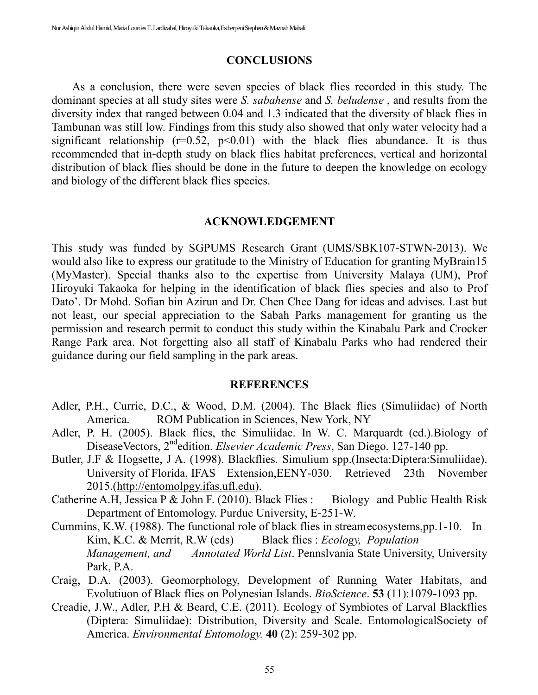#### **CONCLUSIONS**

As a conclusion, there were seven species of black flies recorded in this study. The dominant species at all study sites were *S. sabahense* and *S. beludense* , and results from the diversity index that ranged between 0.04 and 1.3 indicated that the diversity of black flies in Tambunan was still low. Findings from this study also showed that only water velocity had a significant relationship  $(r=0.52, p<0.01)$  with the black flies abundance. It is thus recommended that in-depth study on black flies habitat preferences, vertical and horizontal distribution of black flies should be done in the future to deepen the knowledge on ecology and biology of the different black flies species.

#### **ACKNOWLEDGEMENT**

This study was funded by SGPUMS Research Grant (UMS/SBK107-STWN-2013). We would also like to express our gratitude to the Ministry of Education for granting MyBrain15 (MyMaster). Special thanks also to the expertise from University Malaya (UM), Prof Hiroyuki Takaoka for helping in the identification of black flies species and also to Prof Dato'. Dr Mohd. Sofian bin Azirun and Dr. Chen Chee Dang for ideas and advises. Last but not least, our special appreciation to the Sabah Parks management for granting us the permission and research permit to conduct this study within the Kinabalu Park and Crocker Range Park area. Not forgetting also all staff of Kinabalu Parks who had rendered their guidance during our field sampling in the park areas.

#### **REFERENCES**

- Adler, P.H., Currie, D.C., & Wood, D.M. (2004). The Black flies (Simuliidae) of North America. ROM Publication in Sciences, New York, NY
- Adler, P. H. (2005). Black flies, the Simuliidae. In W. C. Marquardt (ed.).Biology of DiseaseVectors, 2ndedition. *Elsevier Academic Press*, San Diego. 127-140 pp.
- Butler, J.F & Hogsette, J A. (1998). Blackflies. Simulium spp.(Insecta:Diptera:Simuliidae). University of Florida, IFAS Extension,EENY-030. Retrieved 23th November 2015.[\(http://entomolpgy.ifas.ufl.edu\)](http://entomolpgy.ifas.ufl.edu/).
- Catherine A.H, Jessica P & John F. (2010). Black Flies : Biology and Public Health Risk Department of Entomology. Purdue University, E-251-W.
- Cummins, K.W. (1988). The functional role of black flies in streamecosystems,pp.1-10. In Kim, K.C. & Merrit, R.W (eds) Black flies : *Ecology, Population Management, and Annotated World List*. Pennslvania State University, University Park, P.A.
- Craig, D.A. (2003). Geomorphology, Development of Running Water Habitats, and Evolutiuon of Black flies on Polynesian Islands. *BioScience*. **53** (11):1079-1093 pp.
- Creadie, J.W., Adler, P.H & Beard, C.E. (2011). Ecology of Symbiotes of Larval Blackflies (Diptera: Simuliidae): Distribution, Diversity and Scale. EntomologicalSociety of America. *Environmental Entomology.* **40** (2): 259-302 pp.